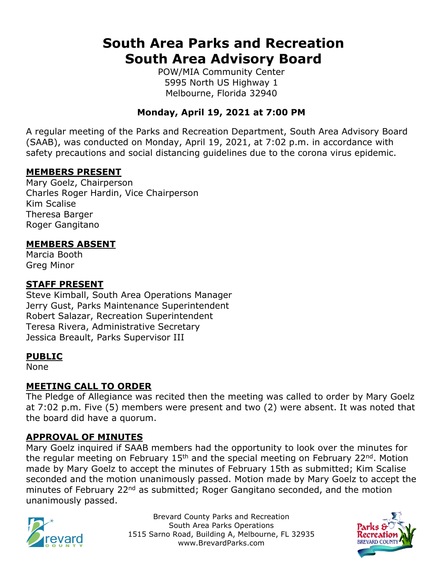# **South Area Parks and Recreation South Area Advisory Board**

POW/MIA Community Center 5995 North US Highway 1 Melbourne, Florida 32940

## **Monday, April 19, 2021 at 7:00 PM**

A regular meeting of the Parks and Recreation Department, South Area Advisory Board (SAAB), was conducted on Monday, April 19, 2021, at 7:02 p.m. in accordance with safety precautions and social distancing guidelines due to the corona virus epidemic.

#### **MEMBERS PRESENT**

Mary Goelz, Chairperson Charles Roger Hardin, Vice Chairperson Kim Scalise Theresa Barger Roger Gangitano

#### **MEMBERS ABSENT**

Marcia Booth Greg Minor

#### **STAFF PRESENT**

Steve Kimball, South Area Operations Manager Jerry Gust, Parks Maintenance Superintendent Robert Salazar, Recreation Superintendent Teresa Rivera, Administrative Secretary Jessica Breault, Parks Supervisor III

#### **PUBLIC**

None

#### **MEETING CALL TO ORDER**

The Pledge of Allegiance was recited then the meeting was called to order by Mary Goelz at 7:02 p.m. Five (5) members were present and two (2) were absent. It was noted that the board did have a quorum.

### **APPROVAL OF MINUTES**

Mary Goelz inquired if SAAB members had the opportunity to look over the minutes for the regular meeting on February 15<sup>th</sup> and the special meeting on February 22<sup>nd</sup>. Motion made by Mary Goelz to accept the minutes of February 15th as submitted; Kim Scalise seconded and the motion unanimously passed. Motion made by Mary Goelz to accept the minutes of February 22<sup>nd</sup> as submitted; Roger Gangitano seconded, and the motion unanimously passed.



Brevard County Parks and Recreation South Area Parks Operations 1515 Sarno Road, Building A, Melbourne, FL 32935 www.BrevardParks.com

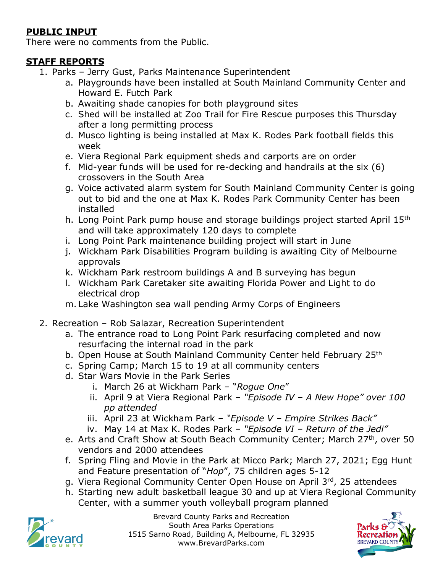## **PUBLIC INPUT**

There were no comments from the Public.

## **STAFF REPORTS**

- 1. Parks Jerry Gust, Parks Maintenance Superintendent
	- a. Playgrounds have been installed at South Mainland Community Center and Howard E. Futch Park
	- b. Awaiting shade canopies for both playground sites
	- c. Shed will be installed at Zoo Trail for Fire Rescue purposes this Thursday after a long permitting process
	- d. Musco lighting is being installed at Max K. Rodes Park football fields this week
	- e. Viera Regional Park equipment sheds and carports are on order
	- f. Mid-year funds will be used for re-decking and handrails at the six (6) crossovers in the South Area
	- g. Voice activated alarm system for South Mainland Community Center is going out to bid and the one at Max K. Rodes Park Community Center has been installed
	- h. Long Point Park pump house and storage buildings project started April 15th and will take approximately 120 days to complete
	- i. Long Point Park maintenance building project will start in June
	- j. Wickham Park Disabilities Program building is awaiting City of Melbourne approvals
	- k. Wickham Park restroom buildings A and B surveying has begun
	- l. Wickham Park Caretaker site awaiting Florida Power and Light to do electrical drop
	- m. Lake Washington sea wall pending Army Corps of Engineers
- 2. Recreation Rob Salazar, Recreation Superintendent
	- a. The entrance road to Long Point Park resurfacing completed and now resurfacing the internal road in the park
	- b. Open House at South Mainland Community Center held February 25<sup>th</sup>
	- c. Spring Camp; March 15 to 19 at all community centers
	- d. Star Wars Movie in the Park Series
		- i. March 26 at Wickham Park "*Rogue One*"
		- ii. April 9 at Viera Regional Park *"Episode IV – A New Hope" over 100 pp attended*
		- iii. April 23 at Wickham Park *"Episode V – Empire Strikes Back"*
		- iv. May 14 at Max K. Rodes Park *"Episode VI – Return of the Jedi"*
	- e. Arts and Craft Show at South Beach Community Center; March 27<sup>th</sup>, over 50 vendors and 2000 attendees
	- f. Spring Fling and Movie in the Park at Micco Park; March 27, 2021; Egg Hunt and Feature presentation of "*Hop*", 75 children ages 5-12
	- g. Viera Regional Community Center Open House on April 3rd, 25 attendees
	- h. Starting new adult basketball league 30 and up at Viera Regional Community Center, with a summer youth volleyball program planned



Brevard County Parks and Recreation South Area Parks Operations 1515 Sarno Road, Building A, Melbourne, FL 32935 www.BrevardParks.com